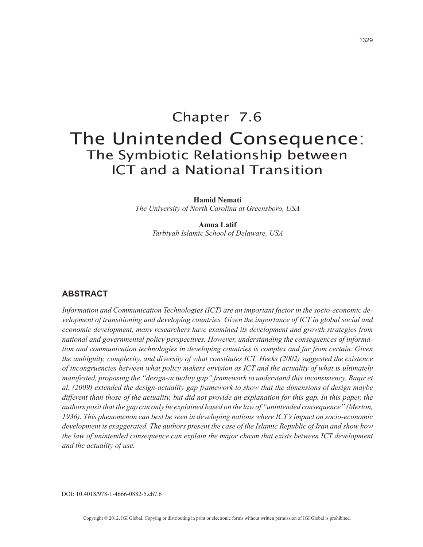# Chapter 7.6 The Unintended Consequence: The Symbiotic Relationship between ICT and a National Transition

**Hamid Nemati** *The University of North Carolina at Greensboro, USA*

> **Amna Latif** *Tarbiyah Islamic School of Delaware, USA*

### **ABSTRACT**

*Information and Communication Technologies (ICT) are an important factor in the socio-economic development of transitioning and developing countries. Given the importance of ICT in global social and economic development, many researchers have examined its development and growth strategies from national and governmental policy perspectives. However, understanding the consequences of information and communication technologies in developing countries is complex and far from certain. Given the ambiguity, complexity, and diversity of what constitutes ICT, Heeks (2002) suggested the existence of incongruencies between what policy makers envision as ICT and the actuality of what is ultimately manifested, proposing the "design-actuality gap" framework to understand this inconsistency. Baqir et al. (2009) extended the design-actuality gap framework to show that the dimensions of design maybe different than those of the actuality, but did not provide an explanation for this gap. In this paper, the authors posit that the gap can only be explained based on the law of "unintended consequence" (Merton, 1936). This phenomenon can best be seen in developing nations where ICT's impact on socio-economic development is exaggerated. The authors present the case of the Islamic Republic of Iran and show how the law of unintended consequence can explain the major chasm that exists between ICT development and the actuality of use.*

DOI: 10.4018/978-1-4666-0882-5.ch7.6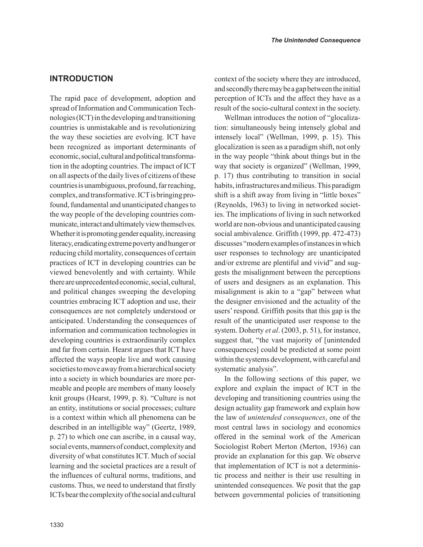## **INTRODUCTION**

The rapid pace of development, adoption and spread of Information and Communication Technologies (ICT) in the developing and transitioning countries is unmistakable and is revolutionizing the way these societies are evolving. ICT have been recognized as important determinants of economic, social, cultural and political transformation in the adopting countries. The impact of ICT on all aspects of the daily lives of citizens of these countries is unambiguous, profound, far reaching, complex, and transformative. ICT is bringing profound, fundamental and unanticipated changes to the way people of the developing countries communicate, interact and ultimately view themselves. Whether it is promoting gender equality, increasing literacy, eradicating extreme poverty and hunger or reducing child mortality, consequences of certain practices of ICT in developing countries can be viewed benevolently and with certainty. While there are unprecedented economic, social, cultural, and political changes sweeping the developing countries embracing ICT adoption and use, their consequences are not completely understood or anticipated. Understanding the consequences of information and communication technologies in developing countries is extraordinarily complex and far from certain. Hearst argues that ICT have affected the ways people live and work causing societies to move away from a hierarchical society into a society in which boundaries are more permeable and people are members of many loosely knit groups (Hearst, 1999, p. 8). "Culture is not an entity, institutions or social processes; culture is a context within which all phenomena can be described in an intelligible way" (Geertz, 1989, p. 27) to which one can ascribe, in a causal way, social events, manners of conduct, complexity and diversity of what constitutes ICT. Much of social learning and the societal practices are a result of the influences of cultural norms, traditions, and customs. Thus, we need to understand that firstly ICTs bear the complexity of the social and cultural context of the society where they are introduced, and secondly there may be a gap between the initial perception of ICTs and the affect they have as a result of the socio-cultural context in the society.

Wellman introduces the notion of "glocalization: simultaneously being intensely global and intensely local" (Wellman, 1999, p. 15). This glocalization is seen as a paradigm shift, not only in the way people "think about things but in the way that society is organized" (Wellman, 1999, p. 17) thus contributing to transition in social habits, infrastructures and milieus. This paradigm shift is a shift away from living in "little boxes" (Reynolds, 1963) to living in networked societies. The implications of living in such networked world are non-obvious and unanticipated causing social ambivalence. Griffith (1999, pp. 472-473) discusses "modern examples of instances in which user responses to technology are unanticipated and/or extreme are plentiful and vivid" and suggests the misalignment between the perceptions of users and designers as an explanation. This misalignment is akin to a "gap" between what the designer envisioned and the actuality of the users' respond. Griffith posits that this gap is the result of the unanticipated user response to the system. Doherty *et al*. (2003, p. 51), for instance, suggest that, "the vast majority of [unintended consequences] could be predicted at some point within the systems development, with careful and systematic analysis".

In the following sections of this paper, we explore and explain the impact of ICT in the developing and transitioning countries using the design actuality gap framework and explain how the law of *unintended consequences*, one of the most central laws in sociology and economics offered in the seminal work of the American Sociologist Robert Merton (Merton, 1936) can provide an explanation for this gap. We observe that implementation of ICT is not a deterministic process and neither is their use resulting in unintended consequences. We posit that the gap between governmental policies of transitioning